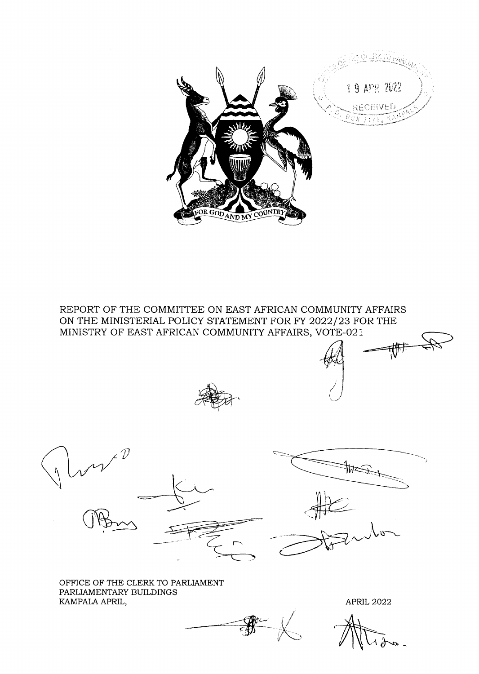

REPORT OF THE COMMITTEE ON EAST AFRICAN COMMUNITY AFFAIRS ON THE MINISTERIAL POLICY STATEMENT FOR FY 2022/23 FOR THE MINISTRY OF EAST AFRICAN COMMUNITY AFFAIRS, VOTE-021





OFFICE OF THE CLERK TO PARLIAMENT PARLIAMENTARY BUILDINGS KAMPALA APRIL,

**APRIL 2022**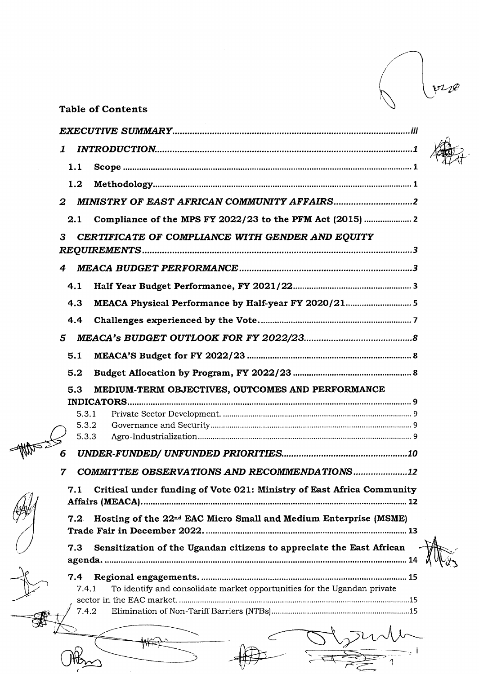$V10$ 

,1

 $\sim$ <sub>2</sub> i

-=

## Table of Contents

| 1                |                                                                              |  |
|------------------|------------------------------------------------------------------------------|--|
| 1.1              |                                                                              |  |
| 1.2              |                                                                              |  |
| $\boldsymbol{2}$ |                                                                              |  |
| 2.1              | Compliance of the MPS FY 2022/23 to the PFM Act (2015)                       |  |
| 3                | CERTIFICATE OF COMPLIANCE WITH GENDER AND EQUITY                             |  |
|                  |                                                                              |  |
| 4                |                                                                              |  |
| 4.1              |                                                                              |  |
| 4.3              |                                                                              |  |
| 4.4              |                                                                              |  |
| 5                |                                                                              |  |
| 5.1              |                                                                              |  |
| 5.2              |                                                                              |  |
| 5.3              | MEDIUM-TERM OBJECTIVES, OUTCOMES AND PERFORMANCE<br><b>INDICATORS</b>        |  |
| 5.3.1            |                                                                              |  |
| 5.3.2<br>5.3.3   |                                                                              |  |
|                  |                                                                              |  |
| 7                | COMMITTEE OBSERVATIONS AND RECOMMENDATIONS12                                 |  |
| 7.1              | Critical under funding of Vote 021: Ministry of East Africa Community        |  |
| $7.2^{\circ}$    | Hosting of the 22 <sup>nd</sup> EAC Micro Small and Medium Enterprise (MSME) |  |
| 7.3              | Sensitization of the Ugandan citizens to appreciate the East African         |  |
|                  |                                                                              |  |
| 7.4<br>7.4.1     | To identify and consolidate market opportunities for the Ugandan private     |  |
|                  |                                                                              |  |
| 7.4.2            |                                                                              |  |
|                  |                                                                              |  |
|                  |                                                                              |  |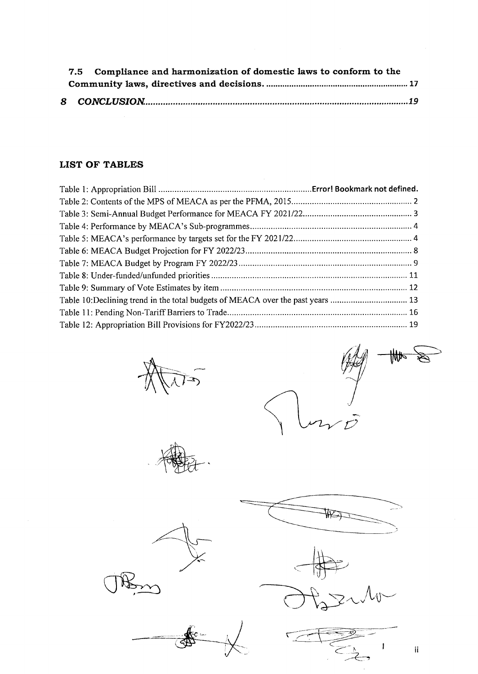|  | 7.5 Compliance and harmonization of domestic laws to conform to the |  |
|--|---------------------------------------------------------------------|--|
|  |                                                                     |  |
|  |                                                                     |  |
|  |                                                                     |  |

## LIST OF TABLES



c->  $\begin{picture}(42,17) \put(0,0){\vector(1,0){10}} \put(15,0){\vector(1,0){10}} \put(15,0){\vector(1,0){10}} \put(15,0){\vector(1,0){10}} \put(15,0){\vector(1,0){10}} \put(15,0){\vector(1,0){10}} \put(15,0){\vector(1,0){10}} \put(15,0){\vector(1,0){10}} \put(15,0){\vector(1,0){10}} \put(15,0){\vector(1,0){10}} \put(15,0){\vector(1,0){10}} \put(15,0){\vector(1$ S am  $\mathcal{D}$ 

 $\frac{1}{\sqrt{\frac{1}{2}}\cdot\frac{1}{\sqrt{\frac{1}{2}}}}$ 





 $\begin{picture}(120,10) \put(0,0){\line(1,0){155}} \put(15,0){\line(1,0){155}} \put(15,0){\line(1,0){155}} \put(15,0){\line(1,0){155}} \put(15,0){\line(1,0){155}} \put(15,0){\line(1,0){155}} \put(15,0){\line(1,0){155}} \put(15,0){\line(1,0){155}} \put(15,0){\line(1,0){155}} \put(15,0){\line(1,0){155}} \put(15,0){\line(1,0){155}}$ 

أسدام **ESSENT** 



il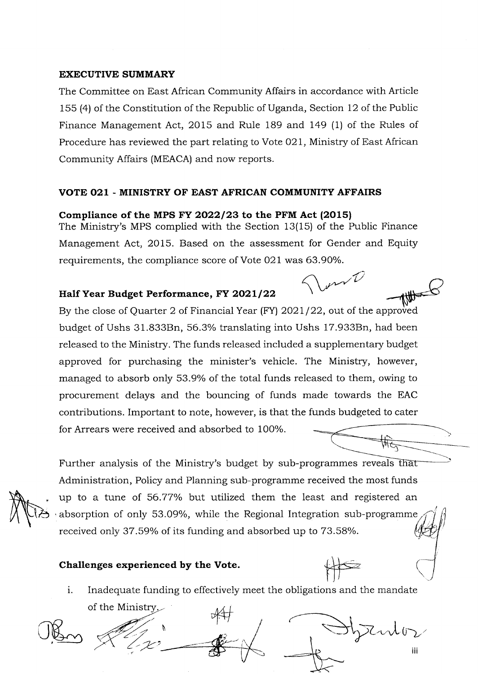#### EXECUTIVE SUMMARY

The Committee on East African Community Affairs in accordance with Article 155 (4) of the Constitution of the Republic of Uganda, Section 12 of the Public Finance Management Act, 2015 and Rule 189 and 149 (1) of the Rules of Procedure has reviewed the part relating to Vote 021, Ministry of East African Community Affairs (MEACA) and now reports.

#### VOTE O2I - MINISTRY OF EAST AFRICAN COMMUNITY AFFAIRS

#### Compliance of the MPS FY 2022/23 to the PFM Act  $(2015)$

The Ministry's MPS complied with the Section 13(15) of the Public Finance Management Act, 2015. Based on the assessment for Gender and Equity requirements, the compliance score of Vote 021 was 63.90%.

 $m\hat{U}$ 

### Half Year Budget Performance, FY 2021/22

WO By the close of Quarter 2 of Financial Year (FY)  $2021/22$ , out of the approved budget of Ushs 31.833Bn, 56.3% translating into Ushs 17.933Bn, had been released to the Ministry. The funds released included a supplementary budget approved for purchasing the minister's vehicle. The Ministry, however, managed to absorb only 53.9% of the total funds released to them, owing to procurement delays and the bouncing of funds made towards the EAC contributions. Important to note, however, is that the funds budgeted to cater for Arrears were received and absorbed to 100%.

1

Further analysis of the Ministry's budget by sub-programmes reveals Administration, Policy and Planning sub-programme received the most funds up to a tune of 56.77% but utilized them the least and registered an absorption of only 53.09%, while the Regional Integration sub-programme received only 37.59% of its funding and absorbed up to 73.58%.

### Challenges experienced by the Vote.

 $\begin{picture}(20,10) \put(0,0){\line(1,0){10}} \put(15,0){\line(1,0){10}} \put(15,0){\line(1,0){10}} \put(15,0){\line(1,0){10}} \put(15,0){\line(1,0){10}} \put(15,0){\line(1,0){10}} \put(15,0){\line(1,0){10}} \put(15,0){\line(1,0){10}} \put(15,0){\line(1,0){10}} \put(15,0){\line(1,0){10}} \put(15,0){\line(1,0){10}} \put(15,0){\line(1$ Inadequate funding to effectively meet the obligations and the mandate i.

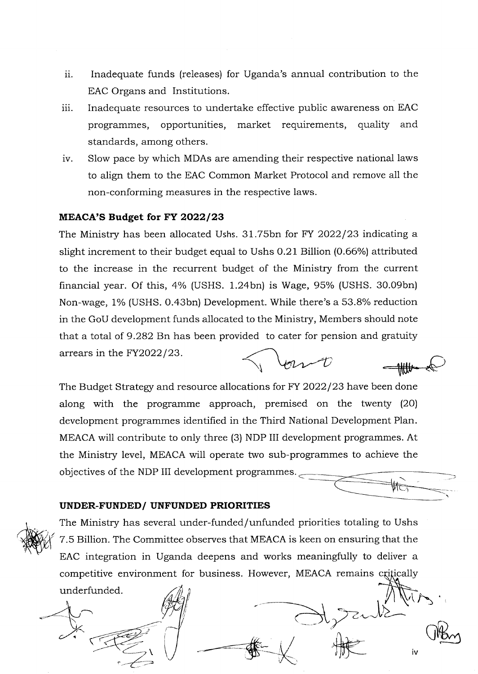- ii. Inadequate funds (releases) for Uganda's annual contribution to the EAC Organs and Institutions.
- iii. Inadequate resources to undertake effective public awareness on EAC programmes, opportunities, market requirements, quality and standards, among others.
- iv. SIow pace by which MDAs are amending their respective national laws to align them to the EAC Common Market Protocol and remove all the non-conforming measures in the respective laws.

#### MEACA'S Budget for FY 2022/23

The Ministry has been allocated Ushs.  $31.75$ bn for FY 2022/23 indicating a slight increment to their budget equal to Ushs 0.21 Billion (0.66%) attributed to the increase in the recurrent budget of the Ministry from the current financial year. Of this,  $4\%$  (USHS. 1.24bn) is Wage, 95% (USHS. 30.09bn) Non-wage, 1% (USHS. 0.43bn) Development. While there's a 53.8% reduction in the GoU development funds allocated to the Ministry, Members should note that a total of 9.282 Bn has been provided to cater for pension and gratuity arrears in the  $FY2022/23$ . Jernet

The Budget Strategy and resource allocations for FY 2022/23 have been done along with the programme approach, premised on the twenty (2O) development programmes identified in the Third National Development Plan. MEACA will contribute to only three (3) NDP III development programmes. At the Ministry level, MEACA will operate two sub-programmes to achieve the objectives of the NDP III development programmes.

#### UNDER.FUNDED/ UNFUNDED PRIORITIES



The Ministry has several under-funded/unfunded priorities totaling to Ushs 7.5 Billion. The Committee observes that MEACA is keen on ensuring that the EAC integration in Uganda deepens and works meaningfully to deliver a competitive environment for business. However, MEACA remains underfunded.

 $\int_{0}^{\infty}\frac{dx}{x}dx$ 

 $\hat{J}$ 

(Kon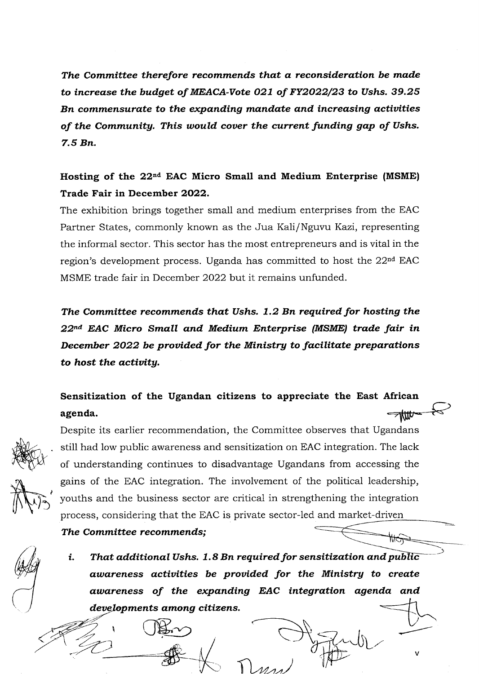The Committee therefore recommends that a reconsideration be made to increase the budget of MEACA-Vote O27 of FY2O22/23 to Ushs. 39.25 Bn commensurate to the expanding mandate and increasing actiuities of the Community. This would cover the current funding gap of Ushs. 7.5 Bn.

## Hosting of the 22<sup>nd</sup> EAC Micro Small and Medium Enterprise (MSME) Trade Fair in December 2022.

The exhibition brings together small and medium enterprises from the EAC Partner States, commonly known as the Jua Kali/Nguvu Kazi, representing the informal sector. This sector has the most entrepreneurs and is vital in the region's development process. Uganda has committed to host the 22<sup>nd</sup> EAC MSME trade fair in December 2022 but it remains unfunded.

The Committee recommends that Ushs. 1.2 Bn required for hosting the 22<sup>nd</sup> EAC Micro Small and Medium Enterprise (MSME) trade fair in December 2022 be provided for the Ministry to facilitate preparations to host the actiuitg.

#### Sensitization of the Ugandan citizens to appreciate the East African agenda. <del>∕ttit</del>





Despite its earlier recommendation, the Committee observes that Ugandans still had low public awareness and sensitization on EAC integration. The lack of understanding continues to disadvantage Ugandans from accessing the gains of the EAC integration. The involvement of the political leadership, youths and the business sector are critical in strengthening the integration process, considering that the EAC is private sector-led and market-driver

The Committee recommends;

i. That additional Ushs. 1.8 Bn required for sensitization and public awareness activities be provided for the Ministry to create awareness of the expanding EAC integration agenda and developments among citizens.

'i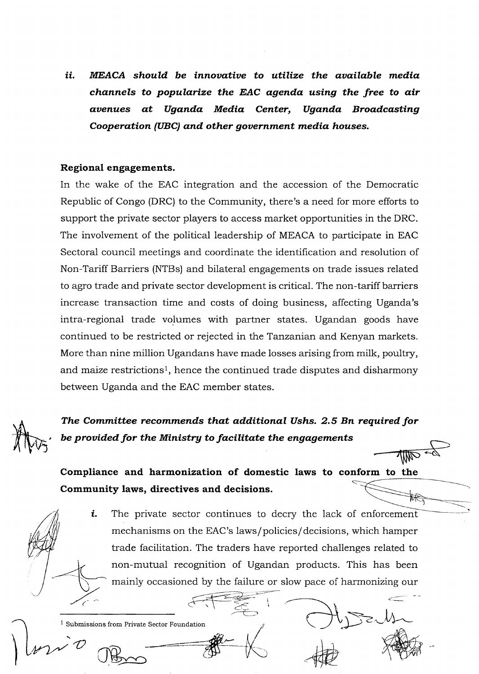ii. MEACA should be innovative to utilize the available media channels to popularize the EAC agenda using the free to air avenues at Uganda Media Center, Uganda Broadcasting Cooperation (UBC) and other government media houses.

#### Regional engagements.

In the wake of the EAC integration and the accession of the Democratic Republic of Congo (DRC) to the Community, there's a need for more efforts to support the private sector piayers to access market opportunities in the DRC. The involvement of the political leadership of MEACA to participate in EAC Sectoral council meetings and coordinate the identification and resolution of Non-Tariff Barriers (NTBs) and bilateral engagements on trade issues related to agro trade and private sector development is critical. The non-tariff barriers increase transaction time and costs of doing business, affecting Uganda's intra-regional trade volumes with partner states. Ugandan goods have continued to be restricted or rejected in the Tanzanian and Kenyan markets. More than nine million Ugandans have made losses arising from milk, poultry, and maize restrictions<sup>1</sup>, hence the continued trade disputes and disharmony between Uganda and the EAC member states.



The Committee recommends that additional Ushs. 2.5 Bn required for be provided for the Ministry to facilitate the engagements

Compliance and harmonization of domestic laws to conform to the Community laws, directives and decisions. इिर्फ

 $\mathcal{L} \leftarrow \mathcal{L} \leftarrow \mathcal{L} \leftarrow \mathcal{L} \leftarrow \mathcal{L}$ 

The private sector continues to decry the lack of enforcement mechanisms on the EAC's laws/policies/decisions, which hamper trade facilitation. The traders have reported challenges related to non-mutual recognition of Ugandan products. This has been mainly occasioned by the failure or slow pace of harmonizing our t.

I

 $1$  Submissions from Private Sector Foundation bmissions from Private Sector Foundation<br>
COBS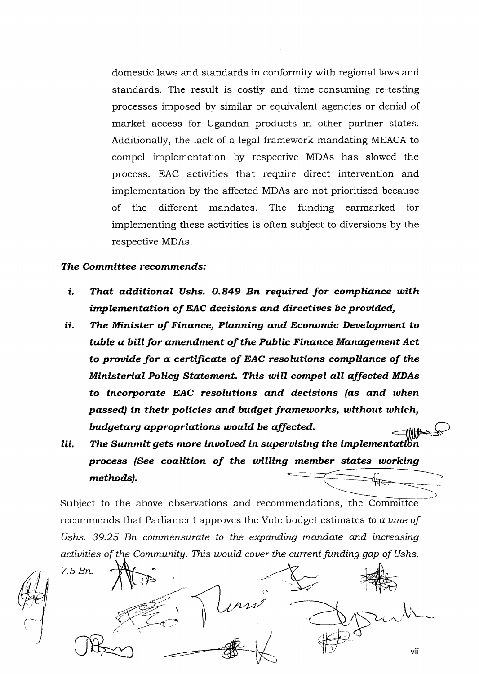domestic laws and standards in conformity with regional laws and standards. The result is costly and time-consuming re-testing processes imposed by similar or equivalent agencies or denial of market access for Ugandan products in other partner states. Additionally, the lack of a legal framework mandating MEACA to compel implementation by respective MDAs has slowed the process. EAC activities that require direct intervention and implementation by the affected MDAs are not prioritized because of the different mandates. The funding earmarked for implementing these activities is often subject to diversions by the respective MDAs.

#### The Committee recommends:

- $\mathbf{i}$ . That additional Ushs. 0.849 Bn required for compliance with implementation of EAC decisions and directives be provided,
- ii. The Minister of Finance, Planning and Economic Development to table a bill for amendment of the Public Finance Management Act to provide for a certificate of EAC resolutions compliance of the Ministerial Policy Statement. This will compel all affected MDAs to incorporate EAC resolutions and decisions (as and when passed) in their policies and budget frameworks, without which, budgetary appropriations would be affected.
- iii. The Summit gets more involved in supervising the implementation process (See coalition of the willing member states working methods).

Subject to the above observations and recommendations, the Committee recommends that Parliament approves the Vote budget estimates to a tune of Ushs. 39.25 Bn commensurate to the expanding mandate and increasing activities of the Community. This would cover the current funding gap of Ushs.

 $7.5 Bn$ . vii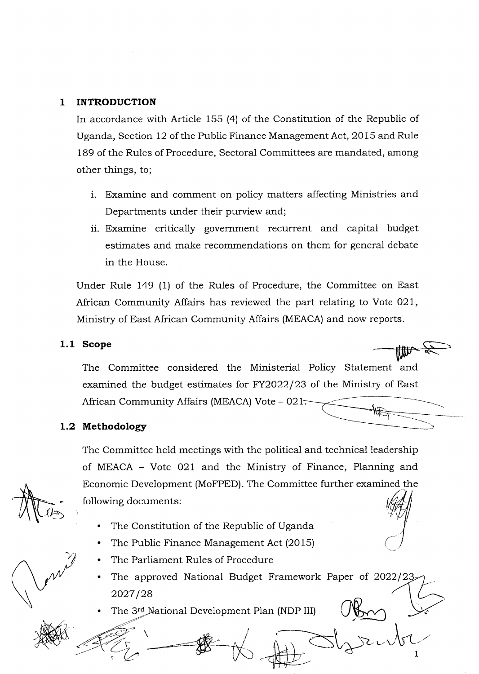#### 1 INTRODUCTION

In accordance with Article 155 (4) of the Constitution of the Republic of Uganda, Section 12 of the Public Finance Management Act, 2015 and Rule 189 of the Rules of Procedure, Sectoral Committees are mandated, among other things, to;

- i. Examine and comment on policy matters affecting Ministries and Departments under their purview and;
- ii. Examine critically government recurrent and capital budget estimates and make recommendations on them for general debate in the House.

Under Rule I49 (1) of the Rules of Procedure, the Committee on East African Community Affairs has reviewed the part relating to Vote 021, Ministry of East African Community Affairs (MEACA) and now reports.

#### 1.1 Scope

The Committee considered the Ministerial Policy Statement and examined the budget estimates for FY2O22|23 of the Ministry of East African Community Affairs (MEACA) Vote - 021.

#### 1.2 Methodology

 $\overline{\phantom{a}}$ 

The Committee held meetings with the political and technical leadership of MEACA - Vote 021 and the Ministry of Finance, Planning and Economic Development (MoFPED) The Committee further examined the following documents

- . The Constitution of the Repubiic of Uganda
- . The Public Finance Management Act (2015)
- . The Parliament Rules of Procedure
- The approved National Budget Framework Paper of 2022/23 2027/28 a

L

. The 3<sup>rd</sup> National Development Plan (NDP III)

 $\psi$ 

**AND**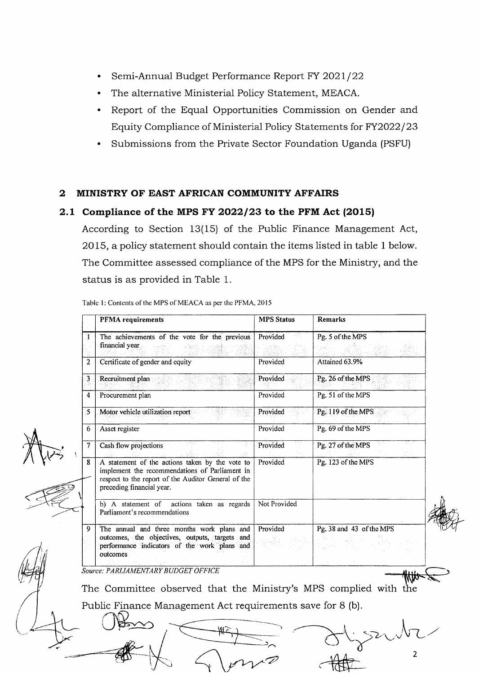- Semi-Annual Budget Performance Report FY 2021/22
- . The alternative Ministerial Policy Statement, MEACA.
- . Report of the Equal Opportunities Commission on Gender and Equity Compliance of Ministerial Policy Statements for FY2022/23
- . Submissions from the Private Sector Foundation Uganda (PSFU)

#### 2 MINISTRY OF EAST AFRICAN COMMUNITY AFFAIRS

#### 2.1 Compliance of the MPS FY 2022/23 to the PFM Act  $(2015)$

According to Section 13(15) of the Public Finance Management Act, 2015, a policy statement should contain the items listed in table 1 below. The Committee assessed compiiance of the MPS for the Ministry, and the status is as provided in Table 1.

Table 1: Contents of the MPS of MEACA as per the PFMA, 2015

Source: PARLIAMENTARY BUDGET OFFICE The Committee observed that the Ministry's MPS complied with the Public Finance Management Act requirements save for 8 (b)  $-440$ PFMA requirements MPS Status Remarks 1 The achievements of the vote for the previous Provided Pg. 5 of the MPS financial year. 2 Certificate of gender and equity Provided Attained 63.9% 3 Exeruitment plan Provided Provided Pg. 26 of the MPS. , . , 4 Procurement plan Provided Pg. 51 of the MPS 5 Motor vehicle utilization report Provided Pg, 119 ofthe MPS 6 Asset register Provided Pg. 69 of the MPS **7** Cash flow projections Provided Pg. 27 of the MPS 8 | A statement of the actions taken by the vote to | Provided | Pg. 123 of the MPS implement the recommendations of Parliament in respect to the report of the Auditor General of the preceding financial year. b) A statement of actions taken as regards Parliament's recommendations Not Provided 9 The annual and three months work plans and outcomes, the objectives, outputs, targets and performance indicators of the work plans and outcomes Provided Pg. 38 and 43 of the MPS r<br>V

2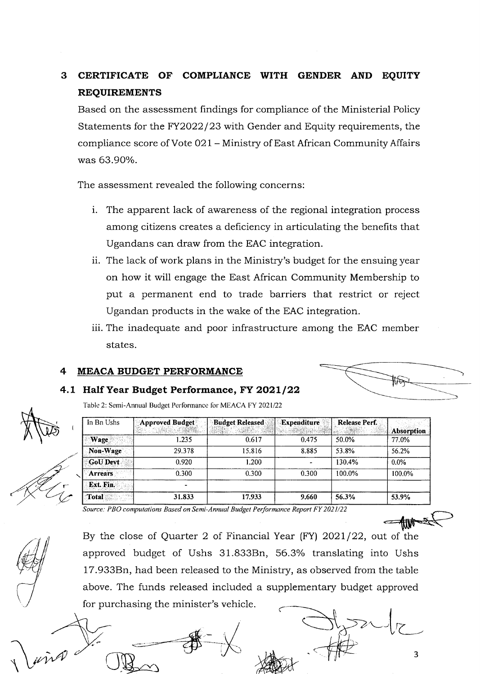#### 3. CERTIFICATE OF COMPLIANCE WITH GENDER AND **EOUITY REQUIREMENTS**

Based on the assessment findings for compliance of the Ministerial Policy Statements for the FY2022/23 with Gender and Equity requirements, the compliance score of Vote 021 - Ministry of East African Community Affairs was 63.90%.

The assessment revealed the following concerns:

- i. The apparent lack of awareness of the regional integration process among citizens creates a deficiency in articulating the benefits that Ugandans can draw from the EAC integration.
- ii. The lack of work plans in the Ministry's budget for the ensuing year on how it will engage the East African Community Membership to put a permanent end to trade barriers that restrict or reject Ugandan products in the wake of the EAC integration.
- iii. The inadequate and poor infrastructure among the EAC member states.

#### MEACA BUDGET PERFORMANCE

#### 4.1 Half Year Budget Performance, FY 2021/22

Table 2: Semi-Annual Budget Performance for MEACA FY 2021/22

| In Bn Ushs      | Approved Budget          | <b>Budget Released</b> | Expenditure | Release Perf. |            |
|-----------------|--------------------------|------------------------|-------------|---------------|------------|
|                 |                          |                        |             |               | Absorption |
| Wage            | 1.235                    | 0.617                  | 0.475       | 50.0%         | 77.0%      |
| Non-Wage        | 29.378                   | 15.816                 | 8.885       | 53.8%         | 56.2%      |
| <b>GoU Devt</b> | 0.920                    | 1.200                  |             | 130.4%        | $0.0\%$    |
| <b>Arrears</b>  | 0.300                    | 0.300                  | 0.300       | 100.0%        | 100.0%     |
| Ext. Fin.       | $\overline{\phantom{a}}$ |                        |             |               |            |
| Total           | 31.833                   | 17.933                 | 9.660       | 56.3%         | 53.9%      |

Source: PBO computations Based on Semi-Annual Budget Performance Report FY 2021/22

By the close of Quarter 2 of Financial Year (FY) 2021/22, out of the approved budget of Ushs 31.833Bn, 56.3% translating into Ushs 17.933Bn, had been released to the Ministry, as observed from the table above. The funds released included a supplementary budget approved for purchasing the minister's vehicle.



 $\overline{3}$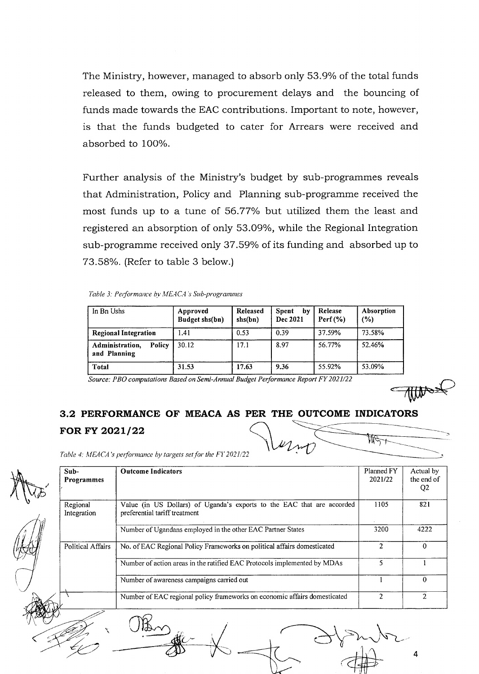The Ministry, however, managed to absorb only 53.9% of the total funds released to them, owing to procurement delays and the bouncing of funds made towards the EAC contributions. Important to note, however, is that the funds budgeted to cater for Arrears were received and absorbed to 100%.

Further analysis of the Ministry's budget by sub-programmes reveals that Administration, Policy and Planning sub-programme received the most funds up to a tune of 56.77% but utilized them the least and registered an absorption of only 53.09%, while the Regional Integration sub-programme received only 37.59% of its funding and absorbed up to 73.58%. (Refer to table 3 below.)

Table 3: Performance by MEACA's Sub-programmes

| In Bn Ushs                                | Approved<br>Budget shs(bn) | Released<br>shs(bn) | Spent<br>by<br>Dec 2021 | Release<br>$Perf(\%)$ | Absorption<br>(%) |
|-------------------------------------------|----------------------------|---------------------|-------------------------|-----------------------|-------------------|
| <b>Regional Integration</b>               | 1.41                       | 0.53                | 0.39                    | 37.59%                | 73.58%            |
| Administration,<br>Policy<br>and Planning | 30.12                      | 17.1                | 8.97                    | 56.77%                | 52.46%            |
| <b>Total</b>                              | 31.53                      | 17.63               | 9.36                    | 55.92%                | 53.09%            |

Source: PBO conrputations Based on Semi-Annual Budget Performance Report FY 202 l/22

4

# 3.2 PERFORMANCE OF MEACA AS PER THE OUTCOME INDICATORS FOR FY 2021/22

Table 4: MEACA's performance by targets set for the FY 2021/22

A Mas Sub-Programmes Outcome Indicators Planned FY 202U22 Actual by the end of Q2 Value (in US Dollars) of Uganda's exports to the EAC that are accorded l 105 821 preferential tariff treatment Number of Ugandans employed in the other EAC Partner States 3200 4222 Regional Integration No. of EAC Regional Policy Frameworks on political affairs domesticated 2 0 Number of action areas in the ratified EAC Protocols implemented by MDAs 5 1  $\overline{0}$ Political Affairs Number of awareness campaigns carried out 1 Number of EAC regional policy frameworks on economic affairs domesticated 2 2 2  $\mathbb{K}_{\sim}$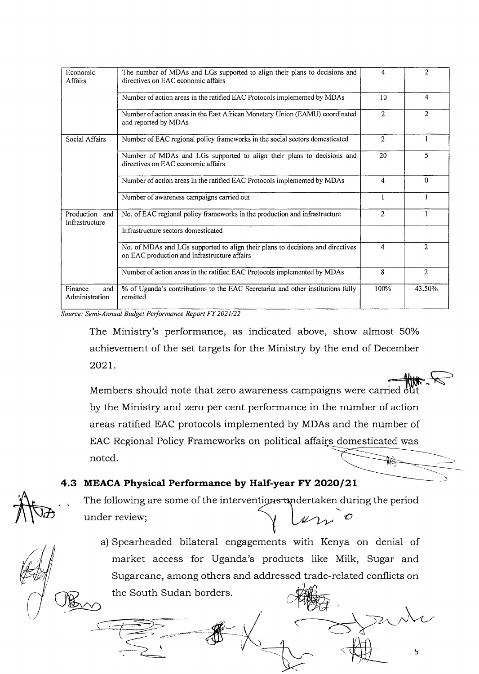| Economic<br><b>Affairs</b>       | The number of MDAs and LGs supported to align their plans to decisions and<br>directives on EAC economic affairs               |                | $\overline{2}$ |
|----------------------------------|--------------------------------------------------------------------------------------------------------------------------------|----------------|----------------|
|                                  | Number of action areas in the ratified EAC Protocols implemented by MDAs                                                       | 10             | 4              |
|                                  | Number of action areas in the East African Monetary Union (EAMU) coordinated<br>and reported by MDAs                           | $\overline{2}$ | $\overline{2}$ |
| Social Affairs                   | Number of EAC regional policy frameworks in the social sectors domesticated                                                    | $\overline{2}$ | 1              |
|                                  | Number of MDAs and LGs supported to align their plans to decisions and<br>directives on EAC economic affairs                   | 20             | 5              |
|                                  | Number of action areas in the ratified EAC Protocols implemented by MDAs                                                       | 4              | $\Omega$       |
|                                  | Number of awareness campaigns carried out                                                                                      | 1              |                |
| Production and<br>Infrastructure | No. of EAC regional policy frameworks in the production and infrastructure                                                     | 2              |                |
|                                  | Infrastructure sectors domesticated                                                                                            |                |                |
|                                  | No. of MDAs and LGs supported to align their plans to decisions and directives<br>on EAC production and infrastructure affairs | 4              | $\overline{2}$ |
|                                  | Number of action areas in the ratified EAC Protocols implemented by MDAs                                                       | 8              | 2              |
| Finance<br>and<br>Administration | % of Uganda's contributions to the EAC Secretariat and other institutions fully<br>remitted                                    | 100%           | 43.50%         |

Source: Semi-Annual Budgel Performance Report Fy 2021/22

The Ministry's performance, as indicated above, show almost 50% achievement of the set targets for the Ministry by the end of December 202L.

Members should note that zero awareness campaigns were carried out by the Ministry and zero per cent performance in the number of action areas ratified EAC protocols implemented by MDAs and the number of EAC Regional Policy Frameworks on political affai<u>rs</u> domesticated was noted.

#### 4.3 MEACA Physical Performance by Half-year FY 2020/21

 $\Box$  The following are some of the intervention<del>s u</del>ndertaken during the period under review;  $\omega_{\mathcal{W}}$  o

a) Spearheaded bilateral engagements with Kenya on denial of market access for Uganda's products like Milk, Sugar and Sugarcane, among others and addressed trade-related conflicts on<br>the South Sudan borders. the South Sudan borders

5